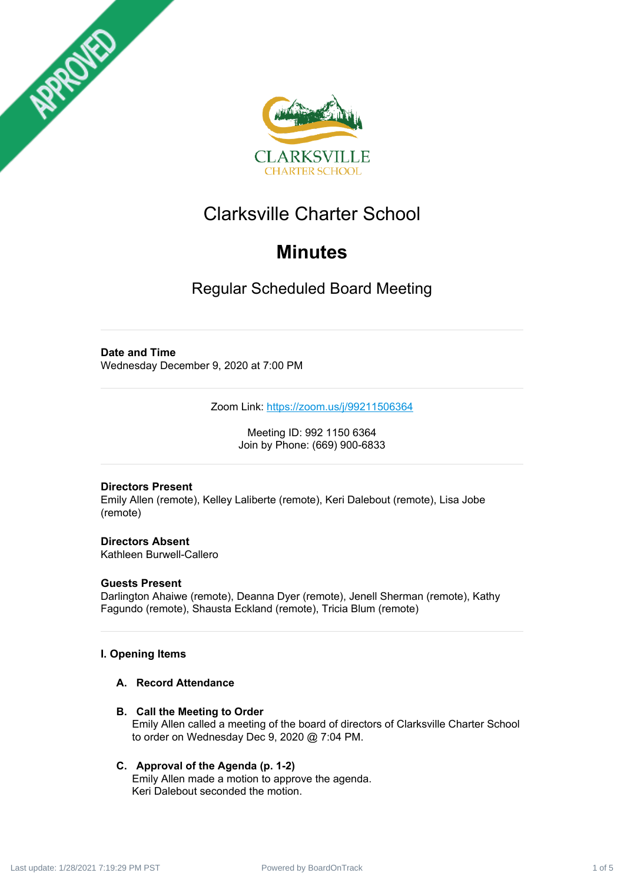



# Clarksville Charter School

# **Minutes**

Regular Scheduled Board Meeting

# **Date and Time**

Wednesday December 9, 2020 at 7:00 PM

Zoom Link: <https://zoom.us/j/99211506364>

Meeting ID: 992 1150 6364 Join by Phone: (669) 900-6833

## **Directors Present**

Emily Allen (remote), Kelley Laliberte (remote), Keri Dalebout (remote), Lisa Jobe (remote)

**Directors Absent** Kathleen Burwell-Callero

# **Guests Present**

Darlington Ahaiwe (remote), Deanna Dyer (remote), Jenell Sherman (remote), Kathy Fagundo (remote), Shausta Eckland (remote), Tricia Blum (remote)

## **I. Opening Items**

## **A. Record Attendance**

**B. Call the Meeting to Order** Emily Allen called a meeting of the board of directors of Clarksville Charter School to order on Wednesday Dec 9, 2020 @ 7:04 PM.

## **C. Approval of the Agenda (p. 1-2)**

Emily Allen made a motion to approve the agenda. Keri Dalebout seconded the motion.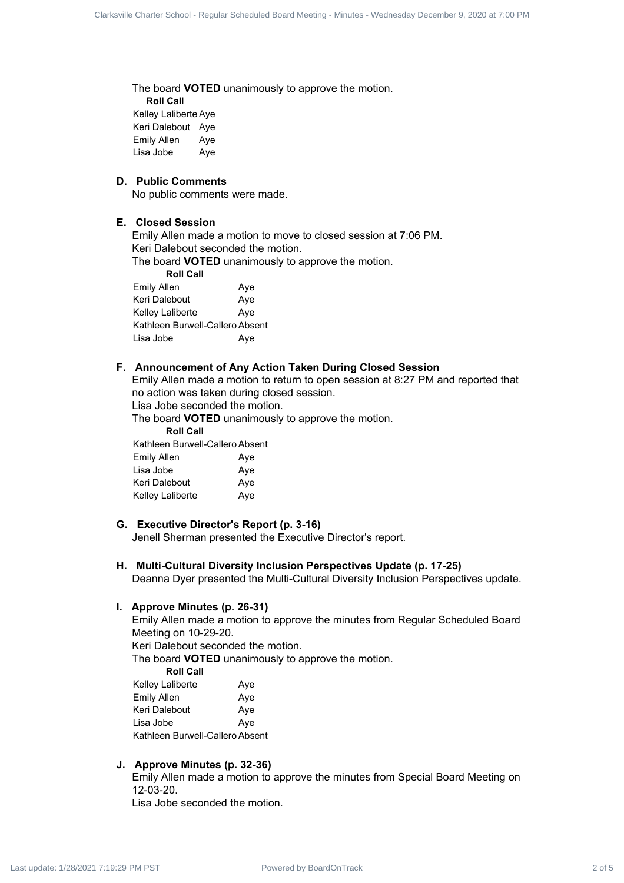The board **VOTED** unanimously to approve the motion. **Roll Call** Kelley Laliberte Aye Keri Dalebout Aye Emily Allen Aye Lisa Jobe Aye Clubed - State School - Board - Regular School - Regular School - Regular Scheduled Board - Regular School - Regular Scheduled Board - Regular Scheduled Board - Regular Scheduled Board - Regular Scheduled Board - Regular

#### **D. Public Comments**

No public comments were made.

# **E. Closed Session**

Emily Allen made a motion to move to closed session at 7:06 PM. Keri Dalebout seconded the motion.

The board **VOTED** unanimously to approve the motion.

**Roll Call** Emily Allen Aye Keri Dalebout Aye Kelley Laliberte **Aye** Kathleen Burwell-Callero Absent Lisa Jobe Aye

#### **F. Announcement of Any Action Taken During Closed Session**

Emily Allen made a motion to return to open session at 8:27 PM and reported that no action was taken during closed session.

Lisa Jobe seconded the motion.

The board **VOTED** unanimously to approve the motion.

**Roll Call**

Kathleen Burwell-Callero Absent

| <b>Emily Allen</b>      | Aye |
|-------------------------|-----|
| Lisa Jobe               | Aye |
| Keri Dalebout           | Aye |
| <b>Kelley Laliberte</b> | Aye |

#### **G. Executive Director's Report (p. 3-16)**

Jenell Sherman presented the Executive Director's report.

#### **H. Multi-Cultural Diversity Inclusion Perspectives Update (p. 17-25)**

Deanna Dyer presented the Multi-Cultural Diversity Inclusion Perspectives update.

#### **I. Approve Minutes (p. 26-31)**

Emily Allen made a motion to approve the minutes from Regular Scheduled Board Meeting on 10-29-20. Keri Dalebout seconded the motion.

The board **VOTED** unanimously to approve the motion.

**Roll Call**

| Kelley Laliberte                | Aye |
|---------------------------------|-----|
| Emily Allen                     | Aye |
| Keri Dalebout                   | Aye |
| Lisa Jobe                       | Aye |
| Kathleen Burwell-Callero Absent |     |

#### **J. Approve Minutes (p. 32-36)**

Emily Allen made a motion to approve the minutes from Special Board Meeting on 12-03-20. Lisa Jobe seconded the motion.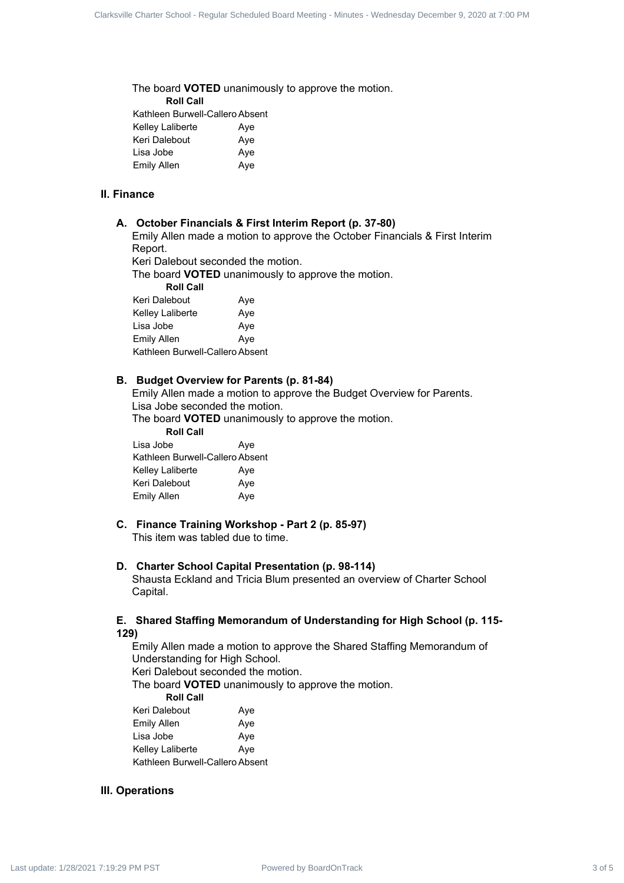The board **VOTED** unanimously to approve the motion. **Roll Call** Kathleen Burwell-Callero Absent Kelley Laliberte Aye Keri Dalebout Aye Lisa Jobe **Aye** Emily Allen Aye

#### **II. Finance**

#### **A. October Financials & First Interim Report (p. 37-80)**

Emily Allen made a motion to approve the October Financials & First Interim Report.

Keri Dalebout seconded the motion.

The board **VOTED** unanimously to approve the motion.

**Roll Call**

| Keri Dalebout                   | Aye |
|---------------------------------|-----|
| Kelley Laliberte                | Aye |
| Lisa Jobe                       | Aye |
| Emily Allen                     | Aye |
| Kathleen Burwell-Callero Absent |     |

#### **B. Budget Overview for Parents (p. 81-84)**

Emily Allen made a motion to approve the Budget Overview for Parents. Lisa Jobe seconded the motion.

The board **VOTED** unanimously to approve the motion.

**Roll Call**

| Lisa Jobe                       | Aye |
|---------------------------------|-----|
| Kathleen Burwell-Callero Absent |     |
| Kelley Laliberte                | Aye |
| Keri Dalebout                   | Aye |
| <b>Emily Allen</b>              | Aye |

# **C. Finance Training Workshop - Part 2 (p. 85-97)**

This item was tabled due to time.

#### **D. Charter School Capital Presentation (p. 98-114)**

Shausta Eckland and Tricia Blum presented an overview of Charter School Capital.

#### **E. Shared Staffing Memorandum of Understanding for High School (p. 115- 129)**

Emily Allen made a motion to approve the Shared Staffing Memorandum of Understanding for High School. Keri Dalebout seconded the motion. The board **VOTED** unanimously to approve the motion. **Roll Call** Keri Dalebout Aye Emily Allen Aye Lisa Jobe **Aye** Kelley Laliberte **Aye** Clubed: Clause State Regular School 2 of 5 Clarksville Charter School - Regular Scheduled Board Charter School - Regular Scheduled Board Meeting - Minutes - Wednesday December 9, 2020<br>
2. Supply 2. Supply 2. Supply 2. Sup

Kathleen Burwell-Callero Absent

#### **III. Operations**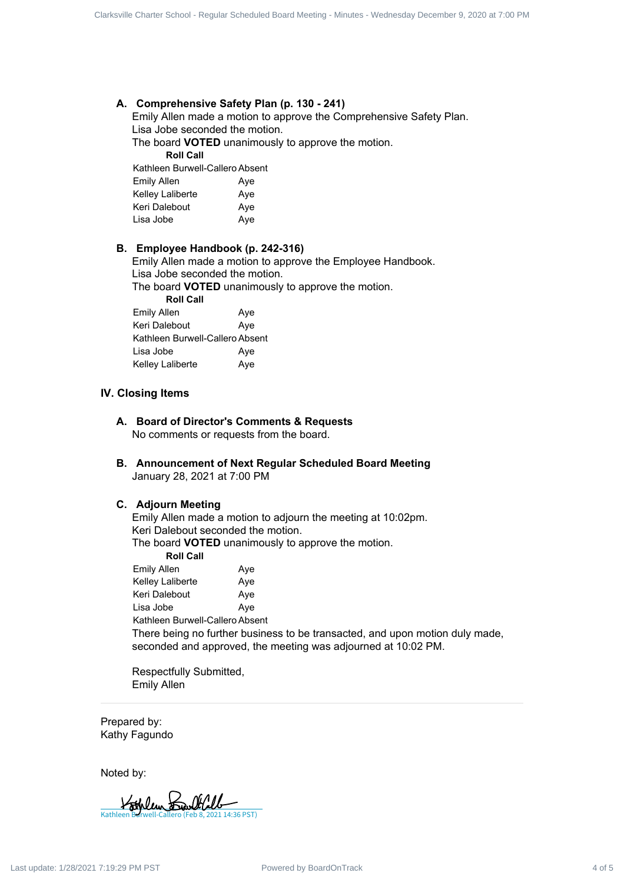#### **A. Comprehensive Safety Plan (p. 130 - 241)**

Emily Allen made a motion to approve the Comprehensive Safety Plan. Lisa Jobe seconded the motion.

The board **VOTED** unanimously to approve the motion. **Roll Call**

Kathleen Burwell-Callero Absent

| Emily Allen      | Aye |
|------------------|-----|
| Kelley Laliberte | Aye |
| Keri Dalebout    | Aye |
| Lisa Jobe        | Aye |

#### **B. Employee Handbook (p. 242-316)**

Emily Allen made a motion to approve the Employee Handbook. Lisa Jobe seconded the motion.

The board **VOTED** unanimously to approve the motion.

**Roll Call** Emily Allen Aye Keri Dalebout

| Keri Dalebout                   | Ave |
|---------------------------------|-----|
| Kathleen Burwell-Callero Absent |     |
| Lisa Jobe                       | Aye |
| Kelley Laliberte                | Aye |

#### **IV. Closing Items**

**A. Board of Director's Comments & Requests** No comments or requests from the board.

**B. Announcement of Next Regular Scheduled Board Meeting** January 28, 2021 at 7:00 PM

#### **C. Adjourn Meeting**

Emily Allen made a motion to adjourn the meeting at 10:02pm. Keri Dalebout seconded the motion. The board **VOTED** unanimously to approve the motion. **Roll Call** Emily Allen Aye Kelley Laliberte **Aye** Keri Dalebout Aye Lisa Jobe **Aye** Kathleen Burwell-Callero Absent There being no further business to be transacted, and upon motion duly made, seconded and approved, the meeting was adjourned at 10:02 PM. Club-1: Since Board Hegale Bobard 1 of 11 241<br>
A. Componentive Birley Plan (1, 113 - 341)<br>
English Alemannes a model of supplyer the Corporation Board Corporation<br>
The Louis Walem Hegale Charter School - Regular School -

Respectfully Submitted, Emily Allen

Prepared by: Kathy Fagundo

Noted by:

[Kathleen Burwell-Callero \(Feb 8, 2021 14:36 PST\)](https://na2.documents.adobe.com/verifier?tx=CBJCHBCAABAABGnA7drEamw1v5KoRsLNdU5j2Q3GknN1)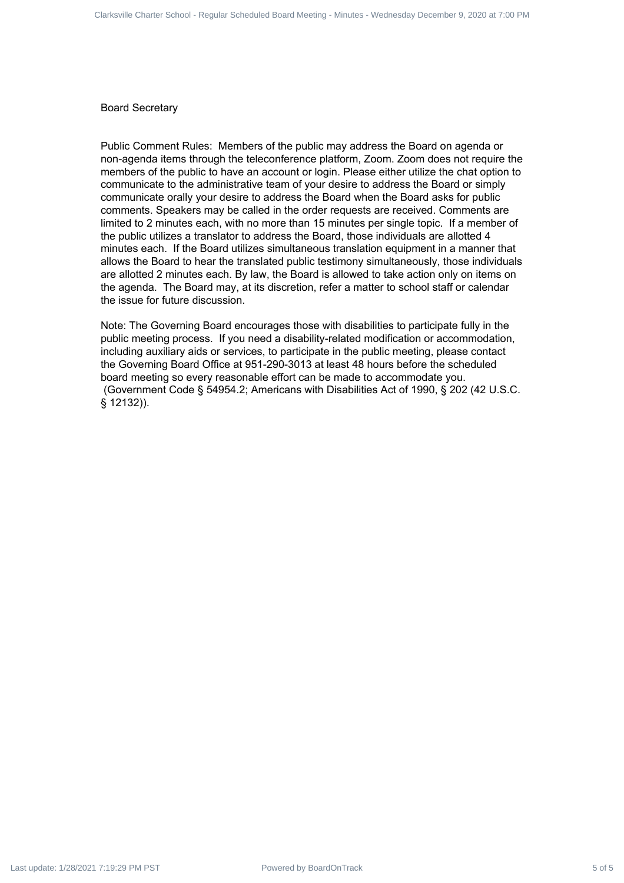Board Secretary

Public Comment Rules: Members of the public may address the Board on agenda or non-agenda items through the teleconference platform, Zoom. Zoom does not require the members of the public to have an account or login. Please either utilize the chat option to communicate to the administrative team of your desire to address the Board or simply communicate orally your desire to address the Board when the Board asks for public comments. Speakers may be called in the order requests are received. Comments are limited to 2 minutes each, with no more than 15 minutes per single topic. If a member of the public utilizes a translator to address the Board, those individuals are allotted 4 minutes each. If the Board utilizes simultaneous translation equipment in a manner that allows the Board to hear the translated public testimony simultaneously, those individuals are allotted 2 minutes each. By law, the Board is allowed to take action only on items on the agenda. The Board may, at its discretion, refer a matter to school staff or calendar the issue for future discussion. Ontario Giornel Board Franks 5 of 5 Clarksville Charter School - Regular Scheduled Board Charter School - Regular Schedule December 9, 2020 at 7:00 PM December 9, 2020 at 7:00 PM December 9, 2020 at 7:00 PM December 9, 202

Note: The Governing Board encourages those with disabilities to participate fully in the public meeting process. If you need a disability-related modification or accommodation, including auxiliary aids or services, to participate in the public meeting, please contact the Governing Board Office at 951-290-3013 at least 48 hours before the scheduled board meeting so every reasonable effort can be made to accommodate you. (Government Code § 54954.2; Americans with Disabilities Act of 1990, § 202 (42 U.S.C. § 12132)).